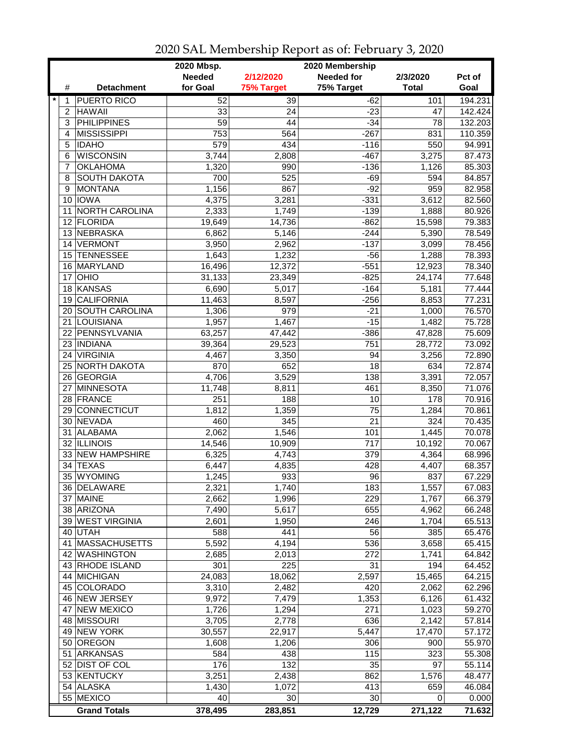|              |                     | 2020 Mbsp.      |                 | 2020 Membership   |              |         |
|--------------|---------------------|-----------------|-----------------|-------------------|--------------|---------|
|              |                     | <b>Needed</b>   | 2/12/2020       | <b>Needed for</b> | 2/3/2020     | Pct of  |
| #            | <b>Detachment</b>   | for Goal        | 75% Target      | 75% Target        | <b>Total</b> | Goal    |
| $\star$<br>1 | <b>PUERTO RICO</b>  | 52              | $\overline{39}$ | $-62$             | 101          | 194.231 |
| 2            | <b>HAWAII</b>       | 33              | 24              | $-23$             | 47           | 142.424 |
| 3            | <b>PHILIPPINES</b>  | $\overline{59}$ | 44              | $-34$             | 78           | 132.203 |
| 4            | <b>MISSISSIPPI</b>  | 753             | 564             | $-267$            | 831          | 110.359 |
| 5            | <b>IDAHO</b>        | 579             | 434             | $-116$            | 550          | 94.991  |
| 6            | <b>WISCONSIN</b>    | 3,744           | 2,808           | $-467$            | 3,275        | 87.473  |
| 7            | <b>OKLAHOMA</b>     | 1,320           | 990             | $-136$            | 1,126        | 85.303  |
| 8            | <b>SOUTH DAKOTA</b> | 700             | 525             | $-69$             | 594          | 84.857  |
| 9            | <b>MONTANA</b>      | 1,156           | 867             | $-92$             | 959          | 82.958  |
|              | 10 IOWA             | 4,375           | 3,281           | $-331$            | 3,612        | 82.560  |
| 11           | NORTH CAROLINA      | 2,333           | 1,749           | $-139$            | 1,888        | 80.926  |
|              | 12 FLORIDA          | 19,649          | 14,736          | $-862$            | 15,598       | 79.383  |
|              | 13 NEBRASKA         | 6,862           | 5,146           | $-244$            | 5,390        | 78.549  |
| 14           | <b>VERMONT</b>      | 3,950           | 2,962           | $-137$            | 3,099        | 78.456  |
| 15           | <b>TENNESSEE</b>    | 1,643           | 1,232           | $-56$             | 1,288        | 78.393  |
|              | 16 MARYLAND         | 16,496          | 12,372          | $-551$            | 12,923       | 78.340  |
| 17           | OHIO                | 31,133          | 23,349          | $-825$            | 24,174       | 77.648  |
|              | 18 KANSAS           | 6,690           | 5,017           | $-164$            | 5,181        | 77.444  |
|              | 19 CALIFORNIA       | 11,463          | 8,597           | $-256$            | 8,853        | 77.231  |
|              | 20 SOUTH CAROLINA   | 1,306           | 979             | $-21$             | 1,000        | 76.570  |
|              | 21 LOUISIANA        | 1,957           | 1,467           | $-15$             | 1,482        | 75.728  |
|              | 22 PENNSYLVANIA     | 63,257          | 47,442          | $-386$            | 47,828       | 75.609  |
|              | 23 INDIANA          | 39,364          | 29,523          | 751               | 28,772       | 73.092  |
| 24           | <b>VIRGINIA</b>     | 4,467           | 3,350           | 94                | 3,256        | 72.890  |
|              | 25 NORTH DAKOTA     | 870             | 652             | 18                | 634          | 72.874  |
|              | 26 GEORGIA          | 4,706           | 3,529           | 138               | 3,391        | 72.057  |
| 27           | <b>MINNESOTA</b>    | 11,748          | 8,811           | 461               | 8,350        | 71.076  |
|              | 28 FRANCE           | 251             | 188             | 10                | 178          | 70.916  |
| 29           | <b>CONNECTICUT</b>  | 1,812           | 1,359           | 75                | 1,284        | 70.861  |
|              | 30 NEVADA           | 460             | 345             | 21                | 324          | 70.435  |
| 31           | <b>ALABAMA</b>      | 2,062           | 1,546           | 101               | 1,445        | 70.078  |
| 32           | <b>ILLINOIS</b>     | 14,546          | 10,909          | 717               | 10,192       | 70.067  |
|              | 33 NEW HAMPSHIRE    | 6,325           | 4,743           | 379               | 4,364        | 68.996  |
| 34           | <b>TEXAS</b>        | 6,447           | 4,835           | 428               | 4,407        | 68.357  |
| 35           | WYOMING             | 1,245           | 933             | 96                | 837          | 67.229  |
|              | 36 DELAWARE         | 2,321           | 1,740           | $\overline{183}$  | 1,557        | 67.083  |
|              | 37 MAINE            | 2,662           | 1,996           | 229               | 1,767        | 66.379  |
|              | 38 ARIZONA          | 7,490           | 5,617           | 655               | 4,962        | 66.248  |
|              | 39 WEST VIRGINIA    | 2,601           | 1,950           | 246               | 1,704        | 65.513  |
|              | 40 UTAH             | 588             | 441             | 56                | 385          | 65.476  |
|              | 41 MASSACHUSETTS    | 5,592           | 4,194           | 536               | 3,658        | 65.415  |
|              | 42 WASHINGTON       | 2,685           | 2,013           | 272               | 1,741        | 64.842  |
|              | 43 RHODE ISLAND     | 301             | 225             | 31                | 194          | 64.452  |
|              | 44 MICHIGAN         | 24,083          | 18,062          | 2,597             | 15,465       | 64.215  |
|              | 45 COLORADO         | 3,310           | 2,482           | 420               | 2,062        | 62.296  |
|              | 46 NEW JERSEY       | 9,972           | 7,479           | 1,353             | 6,126        | 61.432  |
| 47           | <b>NEW MEXICO</b>   | 1,726           | 1,294           | 271               | 1,023        | 59.270  |
|              | 48 MISSOURI         | 3,705           | 2,778           | 636               | 2,142        | 57.814  |
| 49           | NEW YORK            | 30,557          | 22,917          | 5,447             | 17,470       | 57.172  |
|              | 50 OREGON           | 1,608           | 1,206           | 306               | 900          | 55.970  |
| 51           | ARKANSAS            | 584             | 438             | 115               | 323          | 55.308  |
|              | 52 DIST OF COL      | 176             | 132             | 35                | 97           | 55.114  |
|              | 53 KENTUCKY         | 3,251           | 2,438           | 862               | 1,576        | 48.477  |
|              | 54 ALASKA           | 1,430           | 1,072           | 413               | 659          | 46.084  |
|              | 55 MEXICO           | 40              | 30              | 30                | 0            | 0.000   |
|              | <b>Grand Totals</b> | 378,495         | 283,851         | 12,729            | 271,122      | 71.632  |

2020 SAL Membership Report as of: February 3, 2020